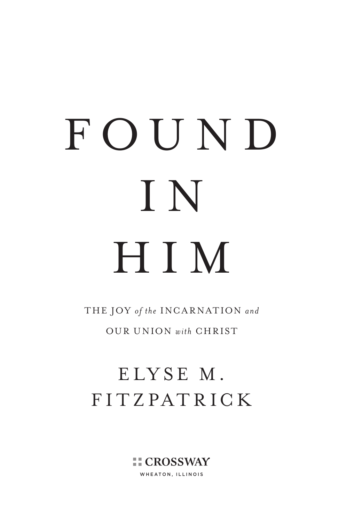# F O U N D I N HIM

THE JOY *of the* INCARNATION *and*

OUR UNION *with* CHRIST

# ELYSE M. FITZPATRICK



WHEATON, ILLINOIS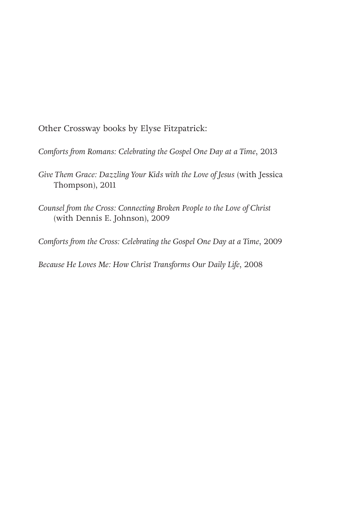Other Crossway books by Elyse Fitzpatrick:

*Comforts !om Romans: Celebrating the Gospel One Day at a Time*, 2013

*Give Them Grace: Dazzling Your Kids with the Love of Jesus* (with Jessica Thompson), 2011

*Counsel !om the Cross: Connecting Broken People to the Love of Christ* (with Dennis E. Johnson), 2009

*Comforts !om the Cross: Celebrating the Gospel One Day at a Time*, 2009

*Because He Loves Me: How Christ Transforms Our Daily Life*, 2008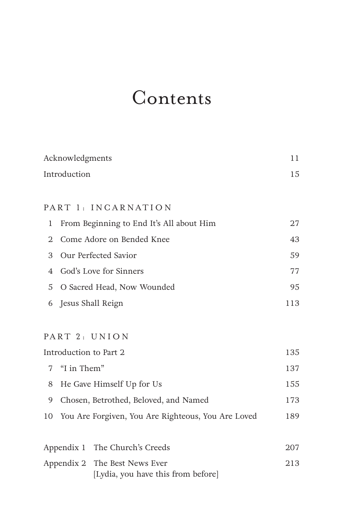# Contents

| Acknowledgments        |                            |                                                                     | 11  |
|------------------------|----------------------------|---------------------------------------------------------------------|-----|
|                        |                            |                                                                     | 15  |
| Introduction           |                            |                                                                     |     |
|                        |                            |                                                                     |     |
|                        |                            | PART 1: INCARNATION                                                 |     |
| 1                      |                            | From Beginning to End It's All about Him                            | 27  |
| $\overline{2}$         | Come Adore on Bended Knee  |                                                                     | 43  |
| 3                      | Our Perfected Savior       |                                                                     |     |
| 4                      | God's Love for Sinners     |                                                                     |     |
| 5                      | O Sacred Head, Now Wounded |                                                                     | 95  |
| 6                      |                            | Jesus Shall Reign                                                   | 113 |
|                        |                            |                                                                     |     |
|                        |                            | PART 2: UNION                                                       |     |
| Introduction to Part 2 |                            |                                                                     | 135 |
| 7                      | "I in Them"                |                                                                     | 137 |
| 8                      | He Gave Himself Up for Us  |                                                                     | 155 |
| 9                      |                            | Chosen, Betrothed, Beloved, and Named                               | 173 |
| 10                     |                            | You Are Forgiven, You Are Righteous, You Are Loved                  | 189 |
|                        |                            |                                                                     |     |
|                        |                            | Appendix 1 The Church's Creeds                                      | 207 |
|                        |                            | Appendix 2 The Best News Ever<br>[Lydia, you have this from before] | 213 |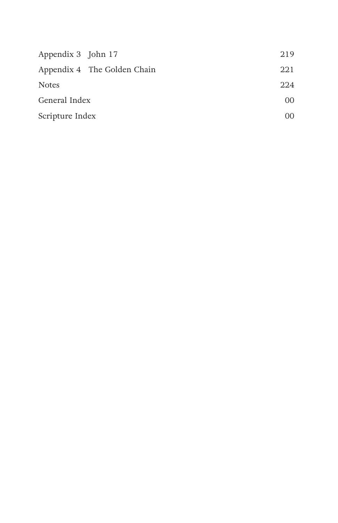| Appendix 3 John 17          | 219 |  |
|-----------------------------|-----|--|
| Appendix 4 The Golden Chain | 221 |  |
| <b>Notes</b>                |     |  |
| General Index               |     |  |
| Scripture Index             |     |  |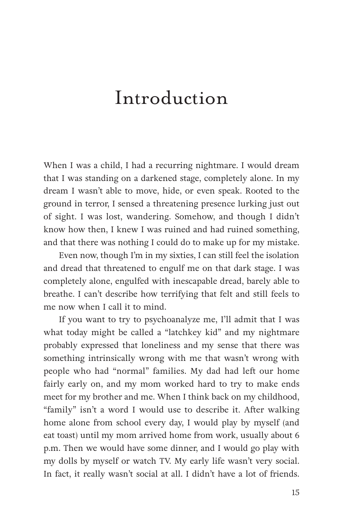When I was a child, I had a recurring nightmare. I would dream that I was standing on a darkened stage, completely alone. In my dream I wasn't able to move, hide, or even speak. Rooted to the ground in terror, I sensed a threatening presence lurking just out of sight. I was lost, wandering. Somehow, and though I didn't know how then, I knew I was ruined and had ruined something, and that there was nothing I could do to make up for my mistake.

Even now, though I'm in my sixties, I can still feel the isolation and dread that threatened to engulf me on that dark stage. I was completely alone, engulfed with inescapable dread, barely able to breathe. I can't describe how terrifying that felt and still feels to me now when I call it to mind.

If you want to try to psychoanalyze me, I'll admit that I was what today might be called a "latchkey kid" and my nightmare probably expressed that loneliness and my sense that there was something intrinsically wrong with me that wasn't wrong with people who had "normal" families. My dad had left our home fairly early on, and my mom worked hard to try to make ends meet for my brother and me. When I think back on my childhood, "family" isn't a word I would use to describe it. After walking home alone from school every day, I would play by myself (and eat toast) until my mom arrived home from work, usually about 6 p.m. Then we would have some dinner, and I would go play with my dolls by myself or watch TV. My early life wasn't very social. In fact, it really wasn't social at all. I didn't have a lot of friends.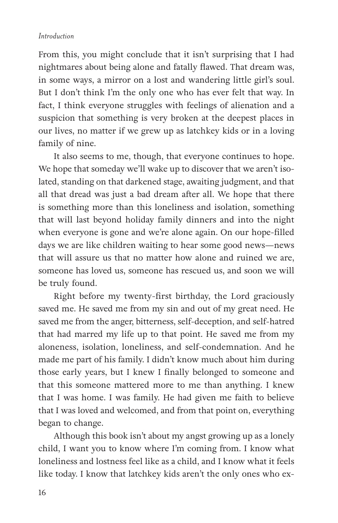From this, you might conclude that it isn't surprising that I had nightmares about being alone and fatally flawed. That dream was, in some ways, a mirror on a lost and wandering little girl's soul. But I don't think I'm the only one who has ever felt that way. In fact, I think everyone struggles with feelings of alienation and a suspicion that something is very broken at the deepest places in our lives, no matter if we grew up as latchkey kids or in a loving family of nine.

It also seems to me, though, that everyone continues to hope. We hope that someday we'll wake up to discover that we aren't isolated, standing on that darkened stage, awaiting judgment, and that all that dread was just a bad dream after all. We hope that there is something more than this loneliness and isolation, something that will last beyond holiday family dinners and into the night when everyone is gone and we're alone again. On our hope-filled days we are like children waiting to hear some good news—news that will assure us that no matter how alone and ruined we are, someone has loved us, someone has rescued us, and soon we will be truly found.

Right before my twenty-first birthday, the Lord graciously saved me. He saved me from my sin and out of my great need. He saved me from the anger, bitterness, self-deception, and self-hatred that had marred my life up to that point. He saved me from my aloneness, isolation, loneliness, and self-condemnation. And he made me part of his family. I didn't know much about him during those early years, but I knew I finally belonged to someone and that this someone mattered more to me than anything. I knew that I was home. I was family. He had given me faith to believe that I was loved and welcomed, and from that point on, everything began to change.

Although this book isn't about my angst growing up as a lonely child, I want you to know where I'm coming from. I know what loneliness and lostness feel like as a child, and I know what it feels like today. I know that latchkey kids aren't the only ones who ex-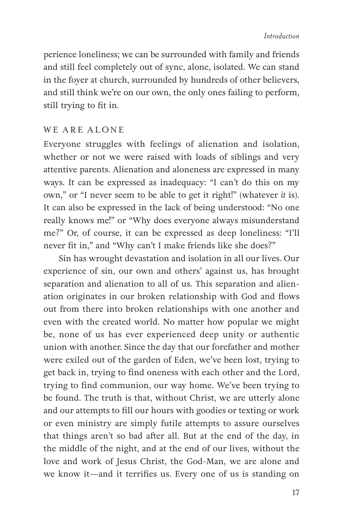perience loneliness; we can be surrounded with family and friends and still feel completely out of sync, alone, isolated. We can stand in the foyer at church, surrounded by hundreds of other believers, and still think we're on our own, the only ones failing to perform, still trying to fit in.

## WE ARE ALONE

Everyone struggles with feelings of alienation and isolation, whether or not we were raised with loads of siblings and very attentive parents. Alienation and aloneness are expressed in many ways. It can be expressed as inadequacy: "I can't do this on my own," or "I never seem to be able to get it right!" (whatever *it* is). It can also be expressed in the lack of being understood: "No one really knows me!" or "Why does everyone always misunderstand me?" Or, of course, it can be expressed as deep loneliness: "I'll never fit in," and "Why can't I make friends like she does?"

Sin has wrought devastation and isolation in all our lives. Our experience of sin, our own and others' against us, has brought separation and alienation to all of us. This separation and alienation originates in our broken relationship with God and flows out from there into broken relationships with one another and even with the created world. No matter how popular we might be, none of us has ever experienced deep unity or authentic union with another. Since the day that our forefather and mother were exiled out of the garden of Eden, we've been lost, trying to get back in, trying to find oneness with each other and the Lord, trying to find communion, our way home. We've been trying to be found. The truth is that, without Christ, we are utterly alone and our attempts to fill our hours with goodies or texting or work or even ministry are simply futile attempts to assure ourselves that things aren't so bad after all. But at the end of the day, in the middle of the night, and at the end of our lives, without the love and work of Jesus Christ, the God-Man, we are alone and we know it—and it terrifies us. Every one of us is standing on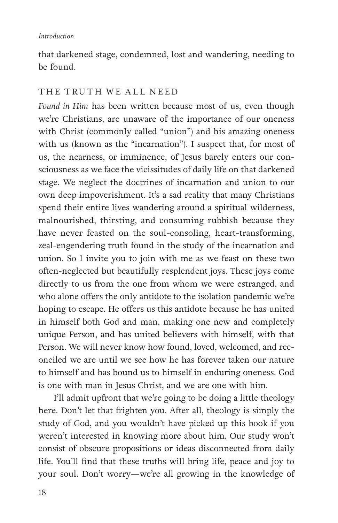that darkened stage, condemned, lost and wandering, needing to be found.

# THE TRUTH WE ALL NEED

*Found in Him* has been written because most of us, even though we're Christians, are unaware of the importance of our oneness with Christ (commonly called "union") and his amazing oneness with us (known as the "incarnation"). I suspect that, for most of us, the nearness, or imminence, of Jesus barely enters our consciousness as we face the vicissitudes of daily life on that darkened stage. We neglect the doctrines of incarnation and union to our own deep impoverishment. It's a sad reality that many Christians spend their entire lives wandering around a spiritual wilderness, malnourished, thirsting, and consuming rubbish because they have never feasted on the soul-consoling, heart-transforming, zeal-engendering truth found in the study of the incarnation and union. So I invite you to join with me as we feast on these two often-neglected but beautifully resplendent joys. These joys come directly to us from the one from whom we were estranged, and who alone offers the only antidote to the isolation pandemic we're hoping to escape. He offers us this antidote because he has united in himself both God and man, making one new and completely unique Person, and has united believers with himself, with that Person. We will never know how found, loved, welcomed, and reconciled we are until we see how he has forever taken our nature to himself and has bound us to himself in enduring oneness. God is one with man in Jesus Christ, and we are one with him.

I'll admit upfront that we're going to be doing a little theology here. Don't let that frighten you. After all, theology is simply the study of God, and you wouldn't have picked up this book if you weren't interested in knowing more about him. Our study won't consist of obscure propositions or ideas disconnected from daily life. You'll find that these truths will bring life, peace and joy to your soul. Don't worry—we're all growing in the knowledge of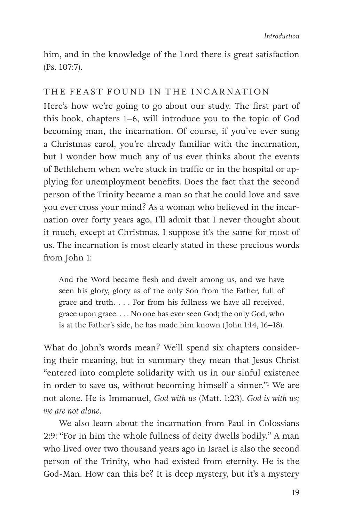him, and in the knowledge of the Lord there is great satisfaction (Ps. 107:7).

# THE FEAST FOUND IN THE INCARNATION

Here's how we're going to go about our study. The first part of this book, chapters 1–6, will introduce you to the topic of God becoming man, the incarnation. Of course, if you've ever sung a Christmas carol, you're already familiar with the incarnation, but I wonder how much any of us ever thinks about the events of Bethlehem when we're stuck in traffic or in the hospital or applying for unemployment benefits. Does the fact that the second person of the Trinity became a man so that he could love and save you ever cross your mind? As a woman who believed in the incarnation over forty years ago, I'll admit that I never thought about it much, except at Christmas. I suppose it's the same for most of us. The incarnation is most clearly stated in these precious words from John 1:

And the Word became flesh and dwelt among us, and we have seen his glory, glory as of the only Son from the Father, full of grace and truth.  $\ldots$  For from his fullness we have all received, grace upon grace. . . . No one has ever seen God; the only God, who is at the Father's side, he has made him known (John 1:14, 16–18).

What do John's words mean? We'll spend six chapters considering their meaning, but in summary they mean that Jesus Christ "entered into complete solidarity with us in our sinful existence in order to save us, without becoming himself a sinner."1 We are not alone. He is Immanuel, *God with us* (Matt. 1:23). *God is with us; we are not alone*.

We also learn about the incarnation from Paul in Colossians 2:9: "For in him the whole fullness of deity dwells bodily." A man who lived over two thousand years ago in Israel is also the second person of the Trinity, who had existed from eternity. He is the God-Man. How can this be? It is deep mystery, but it's a mystery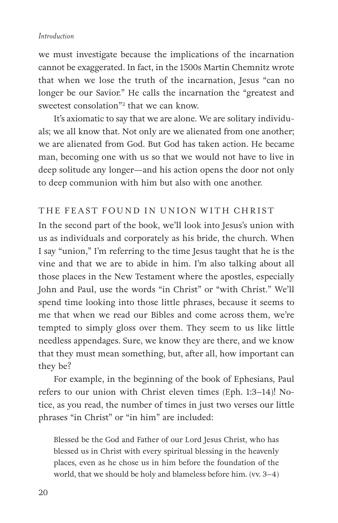we must investigate because the implications of the incarnation cannot be exaggerated. In fact, in the 1500s Martin Chemnitz wrote that when we lose the truth of the incarnation, Jesus "can no longer be our Savior." He calls the incarnation the "greatest and sweetest consolation"2 that we can know.

It's axiomatic to say that we are alone. We are solitary individuals; we all know that. Not only are we alienated from one another; we are alienated from God. But God has taken action. He became man, becoming one with us so that we would not have to live in deep solitude any longer—and his action opens the door not only to deep communion with him but also with one another.

# THE FEAST FOUND IN UNION WITH CHRIST

In the second part of the book, we'll look into Jesus's union with us as individuals and corporately as his bride, the church. When I say "union," I'm referring to the time Jesus taught that he is the vine and that we are to abide in him. I'm also talking about all those places in the New Testament where the apostles, especially John and Paul, use the words "in Christ" or "with Christ." We'll spend time looking into those little phrases, because it seems to me that when we read our Bibles and come across them, we're tempted to simply gloss over them. They seem to us like little needless appendages. Sure, we know they are there, and we know that they must mean something, but, after all, how important can they be?

For example, in the beginning of the book of Ephesians, Paul refers to our union with Christ eleven times (Eph. 1:3–14)! Notice, as you read, the number of times in just two verses our little phrases "in Christ" or "in him" are included:

Blessed be the God and Father of our Lord Jesus Christ, who has blessed us in Christ with every spiritual blessing in the heavenly places, even as he chose us in him before the foundation of the world, that we should be holy and blameless before him. (vv. 3–4)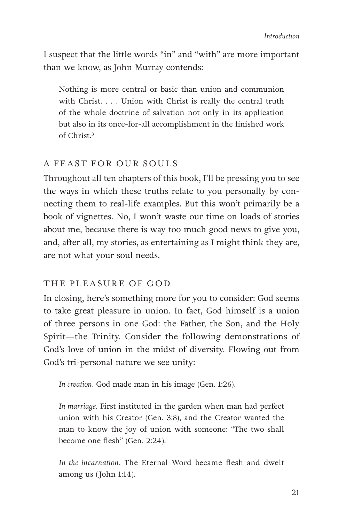I suspect that the little words "in" and "with" are more important than we know, as John Murray contends:

Nothing is more central or basic than union and communion with Christ. . . . Union with Christ is really the central truth of the whole doctrine of salvation not only in its application but also in its once-for-all accomplishment in the finished work of Christ.3

# A FEAST FOR OUR SOULS

Throughout all ten chapters of this book, I'll be pressing you to see the ways in which these truths relate to you personally by connecting them to real-life examples. But this won't primarily be a book of vignettes. No, I won't waste our time on loads of stories about me, because there is way too much good news to give you, and, after all, my stories, as entertaining as I might think they are, are not what your soul needs.

# THE PLEASURE OF GOD

In closing, here's something more for you to consider: God seems to take great pleasure in union. In fact, God himself is a union of three persons in one God: the Father, the Son, and the Holy Spirit—the Trinity. Consider the following demonstrations of God's love of union in the midst of diversity. Flowing out from God's tri-personal nature we see unity:

*In creation*. God made man in his image (Gen. 1:26).

*In marriage.* First instituted in the garden when man had perfect union with his Creator (Gen. 3:8), and the Creator wanted the man to know the joy of union with someone: "The two shall become one flesh" (Gen. 2:24).

*In the incarnation*. The Eternal Word became flesh and dwelt among us (John 1:14).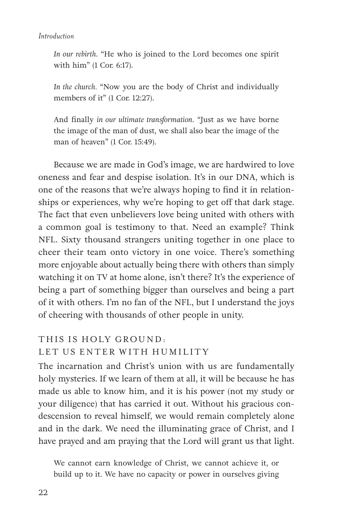*In our rebirth*. "He who is joined to the Lord becomes one spirit with him" (1 Cor. 6:17).

*In the church.* "Now you are the body of Christ and individually members of it" (1 Cor. 12:27).

And finally *in our ultimate transformation*. "Just as we have borne the image of the man of dust, we shall also bear the image of the man of heaven" (1 Cor. 15:49).

Because we are made in God's image, we are hardwired to love oneness and fear and despise isolation. It's in our DNA, which is one of the reasons that we're always hoping to find it in relationships or experiences, why we're hoping to get off that dark stage. The fact that even unbelievers love being united with others with a common goal is testimony to that. Need an example? Think NFL. Sixty thousand strangers uniting together in one place to cheer their team onto victory in one voice. There's something more enjoyable about actually being there with others than simply watching it on TV at home alone, isn't there? It's the experience of being a part of something bigger than ourselves and being a part of it with others. I'm no fan of the NFL, but I understand the joys of cheering with thousands of other people in unity.

### THIS IS HOLY GROUND:

# LET US ENTER WITH HUMILITY

The incarnation and Christ's union with us are fundamentally holy mysteries. If we learn of them at all, it will be because he has made us able to know him, and it is his power (not my study or your diligence) that has carried it out. Without his gracious condescension to reveal himself, we would remain completely alone and in the dark. We need the illuminating grace of Christ, and I have prayed and am praying that the Lord will grant us that light.

We cannot earn knowledge of Christ, we cannot achieve it, or build up to it. We have no capacity or power in ourselves giving